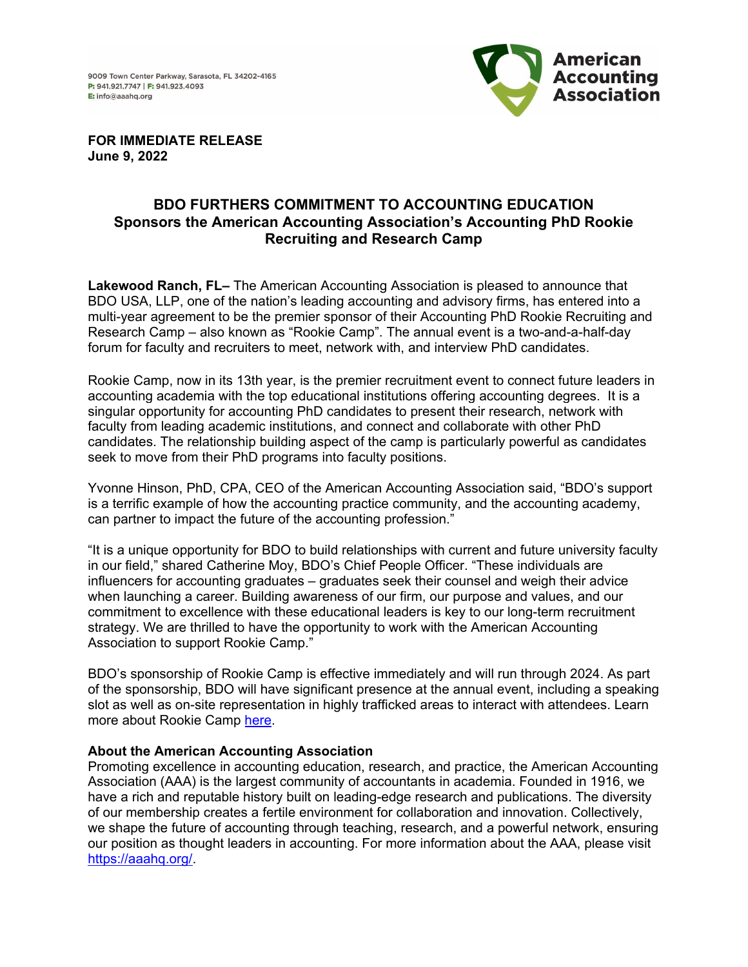

**FOR IMMEDIATE RELEASE June 9, 2022**

## **BDO FURTHERS COMMITMENT TO ACCOUNTING EDUCATION Sponsors the American Accounting Association's Accounting PhD Rookie Recruiting and Research Camp**

**Lakewood Ranch, FL–** The American Accounting Association is pleased to announce that BDO USA, LLP, one of the nation's leading accounting and advisory firms, has entered into a multi-year agreement to be the premier sponsor of their Accounting PhD Rookie Recruiting and Research Camp – also known as "Rookie Camp". The annual event is a two-and-a-half-day forum for faculty and recruiters to meet, network with, and interview PhD candidates.

Rookie Camp, now in its 13th year, is the premier recruitment event to connect future leaders in accounting academia with the top educational institutions offering accounting degrees. It is a singular opportunity for accounting PhD candidates to present their research, network with faculty from leading academic institutions, and connect and collaborate with other PhD candidates. The relationship building aspect of the camp is particularly powerful as candidates seek to move from their PhD programs into faculty positions.

Yvonne Hinson, PhD, CPA, CEO of the American Accounting Association said, "BDO's support is a terrific example of how the accounting practice community, and the accounting academy, can partner to impact the future of the accounting profession."

"It is a unique opportunity for BDO to build relationships with current and future university faculty in our field," shared Catherine Moy, BDO's Chief People Officer. "These individuals are influencers for accounting graduates – graduates seek their counsel and weigh their advice when launching a career. Building awareness of our firm, our purpose and values, and our commitment to excellence with these educational leaders is key to our long-term recruitment strategy. We are thrilled to have the opportunity to work with the American Accounting Association to support Rookie Camp."

BDO's sponsorship of Rookie Camp is effective immediately and will run through 2024. As part of the sponsorship, BDO will have significant presence at the annual event, including a speaking slot as well as on-site representation in highly trafficked areas to interact with attendees. Learn more about Rookie Camp [here.](https://aaahq.org/Meetings/2022/2022-Accounting-PhD-Rookie-Recruiting-and-Research-Camp)

## **About the American Accounting Association**

Promoting excellence in accounting education, research, and practice, the American Accounting Association (AAA) is the largest community of accountants in academia. Founded in 1916, we have a rich and reputable history built on leading-edge research and publications. The diversity of our membership creates a fertile environment for collaboration and innovation. Collectively, we shape the future of accounting through teaching, research, and a powerful network, ensuring our position as thought leaders in accounting. For more information about the AAA, please visit [https://aaahq.org/.](https://aaahq.org/)